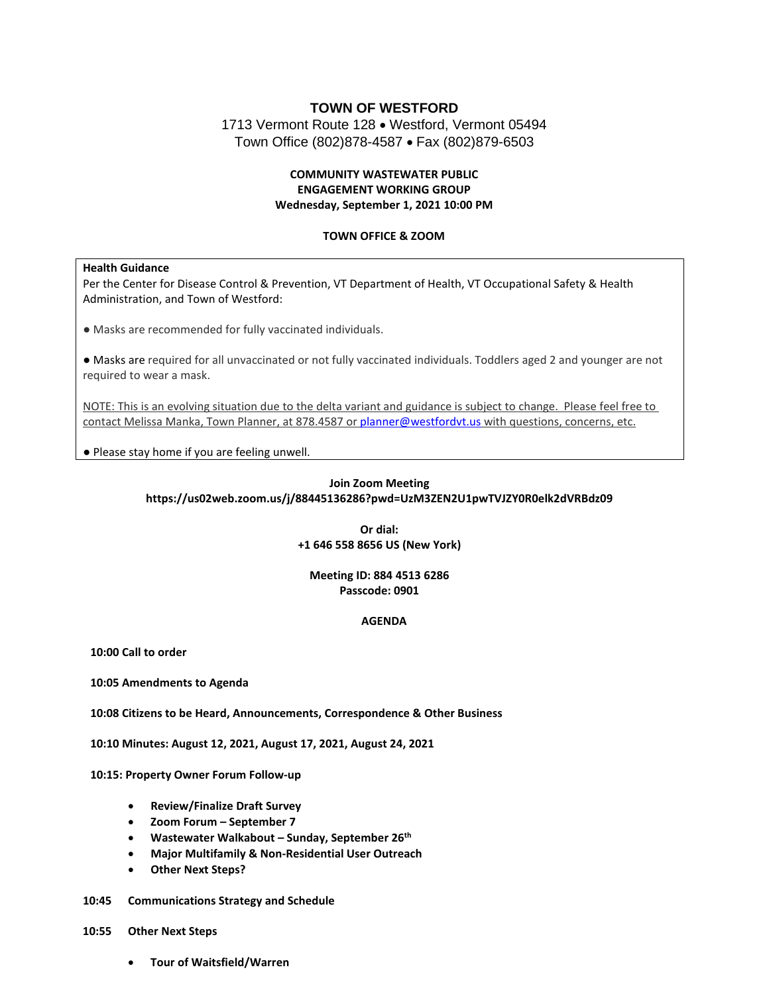# **TOWN OF WESTFORD** 1713 Vermont Route 128 • Westford, Vermont 05494 Town Office (802)878-4587 • Fax (802)879-6503

# **COMMUNITY WASTEWATER PUBLIC ENGAGEMENT WORKING GROUP Wednesday, September 1, 2021 10:00 PM**

### **TOWN OFFICE & ZOOM**

#### **Health Guidance**

Per the Center for Disease Control & Prevention, VT Department of Health, VT Occupational Safety & Health Administration, and Town of Westford:

● Masks are recommended for fully vaccinated individuals.

● Masks are required for all unvaccinated or not fully vaccinated individuals. Toddlers aged 2 and younger are not required to wear a mask.

NOTE: This is an evolving situation due to the delta variant and guidance is subject to change. Please feel free to contact Melissa Manka, Town Planner, at 878.4587 or [planner@westfordvt.us](mailto:planner@westfordvt.us) with questions, concerns, etc.

● Please stay home if you are feeling unwell.

## **Join Zoom Meeting https://us02web.zoom.us/j/88445136286?pwd=UzM3ZEN2U1pwTVJZY0R0elk2dVRBdz09**

**Or dial: +1 646 558 8656 US (New York)**

#### **Meeting ID: 884 4513 6286 Passcode: 0901**

### **AGENDA**

**10:00 Call to order**

**10:05 Amendments to Agenda**

**10:08 Citizens to be Heard, Announcements, Correspondence & Other Business**

**10:10 Minutes: August 12, 2021, August 17, 2021, August 24, 2021**

**10:15: Property Owner Forum Follow-up**

- **Review/Finalize Draft Survey**
- **Zoom Forum – September 7**
- **Wastewater Walkabout – Sunday, September 26th**
- **Major Multifamily & Non-Residential User Outreach**
- **Other Next Steps?**
- **10:45 Communications Strategy and Schedule**
- **10:55 Other Next Steps**
	- **Tour of Waitsfield/Warren**